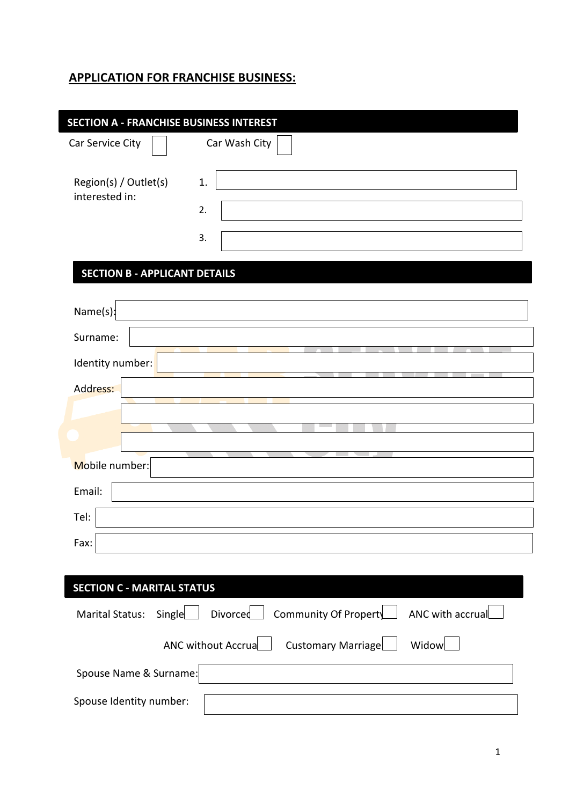# **APPLICATION FOR FRANCHISE BUSINESS:**

| <b>SECTION A - FRANCHISE BUSINESS INTEREST</b> |                                                       |
|------------------------------------------------|-------------------------------------------------------|
| Car Service City                               | Car Wash City                                         |
| Region(s) / Outlet(s)<br>interested in:        | 1.<br>2.<br>3.                                        |
| <b>SECTION B - APPLICANT DETAILS</b>           |                                                       |
| Name(s):                                       |                                                       |
| Surname:                                       |                                                       |
| Identity number:                               |                                                       |
| Address:                                       |                                                       |
|                                                |                                                       |
| Mobile number:                                 |                                                       |
| Email:                                         |                                                       |
| Tel:                                           |                                                       |
| Fax:                                           |                                                       |
| <b>SECTION C - MARITAL STATUS</b>              |                                                       |
|                                                |                                                       |
| Single<br><b>Marital Status:</b>               | Divorced<br>Community Of Property<br>ANC with accrual |
|                                                | Widow<br>ANC without Accrua<br>Customary Marriage     |
| Spouse Name & Surname:                         |                                                       |
| Spouse Identity number:                        |                                                       |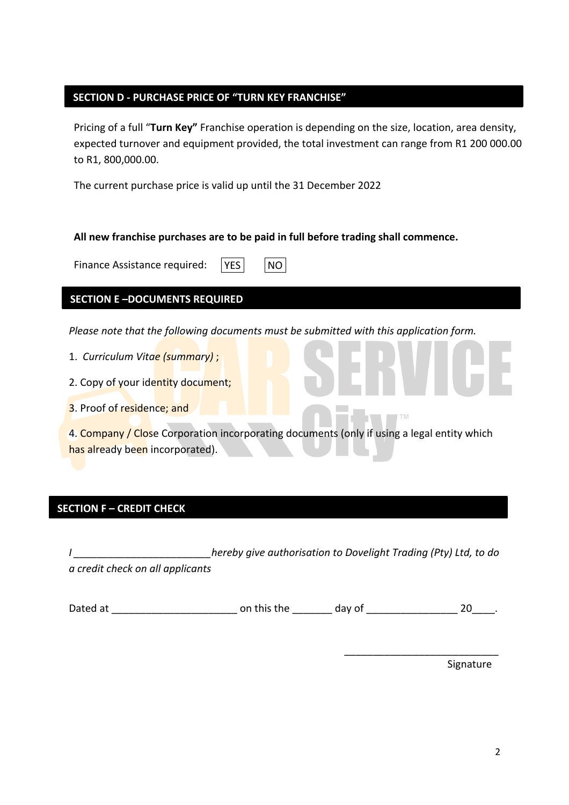### **SECTION D - PURCHASE PRICE OF "TURN KEY FRANCHISE"**

Pricing of a full "**Turn Key"** Franchise operation is depending on the size, location, area density, expected turnover and equipment provided, the total investment can range from R1 200 000.00 to R1, 800,000.00.

The current purchase price is valid up until the 31 December 2022

#### **All new franchise purchases are to be paid in full before trading shall commence.**

Finance Assistance required:  $|YES|$   $|NO|$ 

# **SECTION E –DOCUMENTS REQUIRED**

*Please note that the following documents must be submitted with this application form.* 

- 1. *Curriculum Vitae (summary)* ;
- 2. Copy of your identity document;
- 3. Proof of residence; and

4. Company / Close Corporation incorporating documents (only if using a legal entity which has already been incorporated).

# **SECTION F – CREDIT CHECK**

*I \_\_\_\_\_\_\_\_\_\_\_\_\_\_\_\_\_\_\_\_\_\_\_\_hereby give authorisation to Dovelight Trading (Pty) Ltd, to do a credit check on all applicants*

Dated at \_\_\_\_\_\_\_\_\_\_\_\_\_\_\_\_\_\_\_\_\_\_ on this the \_\_\_\_\_\_\_ day of \_\_\_\_\_\_\_\_\_\_\_\_\_\_\_\_ 20\_\_\_\_.

Signature

\_\_\_\_\_\_\_\_\_\_\_\_\_\_\_\_\_\_\_\_\_\_\_\_\_\_\_

 $T$  M